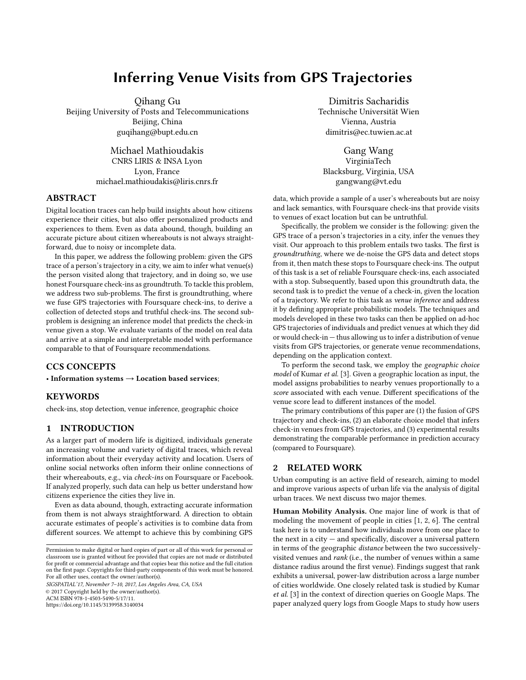# Inferring Venue Visits from GPS Trajectories

Qihang Gu

Beijing University of Posts and Telecommunications Beijing, China guqihang@bupt.edu.cn

> Michael Mathioudakis CNRS LIRIS & INSA Lyon Lyon, France michael.mathioudakis@liris.cnrs.fr

# ABSTRACT

Digital location traces can help build insights about how citizens experience their cities, but also offer personalized products and experiences to them. Even as data abound, though, building an accurate picture about citizen whereabouts is not always straightforward, due to noisy or incomplete data.

In this paper, we address the following problem: given the GPS trace of a person's trajectory in a city, we aim to infer what venue(s) the person visited along that trajectory, and in doing so, we use honest Foursquare check-ins as groundtruth. To tackle this problem, we address two sub-problems. The first is groundtruthing, where we fuse GPS trajectories with Foursquare check-ins, to derive a collection of detected stops and truthful check-ins. The second subproblem is designing an inference model that predicts the check-in venue given a stop. We evaluate variants of the model on real data and arrive at a simple and interpretable model with performance comparable to that of Foursquare recommendations.

## CCS CONCEPTS

• Information systems  $\rightarrow$  Location based services;

## KEYWORDS

check-ins, stop detection, venue inference, geographic choice

## 1 INTRODUCTION

As a larger part of modern life is digitized, individuals generate an increasing volume and variety of digital traces, which reveal information about their everyday activity and location. Users of online social networks often inform their online connections of their whereabouts, e.g., via check-ins on Foursquare or Facebook. If analyzed properly, such data can help us better understand how citizens experience the cities they live in.

Even as data abound, though, extracting accurate information from them is not always straightforward. A direction to obtain accurate estimates of people's activities is to combine data from different sources. We attempt to achieve this by combining GPS

SIGSPATIAL'17, November 7–10, 2017, Los Angeles Area, CA, USA © 2017 Copyright held by the owner/author(s). ACM ISBN 978-1-4503-5490-5/17/11.

<https://doi.org/10.1145/3139958.3140034>

Dimitris Sacharidis

Technische Universität Wien Vienna, Austria dimitris@ec.tuwien.ac.at

Gang Wang VirginiaTech Blacksburg, Virginia, USA gangwang@vt.edu

data, which provide a sample of a user's whereabouts but are noisy and lack semantics, with Foursquare check-ins that provide visits to venues of exact location but can be untruthful.

Specifically, the problem we consider is the following: given the GPS trace of a person's trajectories in a city, infer the venues they visit. Our approach to this problem entails two tasks. The first is groundtruthing, where we de-noise the GPS data and detect stops from it, then match these stops to Foursquare check-ins. The output of this task is a set of reliable Foursquare check-ins, each associated with a stop. Subsequently, based upon this groundtruth data, the second task is to predict the venue of a check-in, given the location of a trajectory. We refer to this task as venue inference and address it by defining appropriate probabilistic models. The techniques and models developed in these two tasks can then be applied on ad-hoc GPS trajectories of individuals and predict venues at which they did or would check-in — thus allowing us to infer a distribution of venue visits from GPS trajectories, or generate venue recommendations, depending on the application context.

To perform the second task, we employ the geographic choice model of Kumar et al. [\[3\]](#page-3-0). Given a geographic location as input, the model assigns probabilities to nearby venues proportionally to a score associated with each venue. Different specifications of the venue score lead to different instances of the model.

The primary contributions of this paper are (1) the fusion of GPS trajectory and check-ins, (2) an elaborate choice model that infers check-in venues from GPS trajectories, and (3) experimental results demonstrating the comparable performance in prediction accuracy (compared to Foursquare).

# 2 RELATED WORK

Urban computing is an active field of research, aiming to model and improve various aspects of urban life via the analysis of digital urban traces. We next discuss two major themes.

Human Mobility Analysis. One major line of work is that of modeling the movement of people in cities [\[1,](#page-3-1) [2,](#page-3-2) [6\]](#page-3-3). The central task here is to understand how individuals move from one place to the next in a city — and specifically, discover a universal pattern in terms of the geographic distance between the two successivelyvisited venues and rank (i.e., the number of venues within a same distance radius around the first venue). Findings suggest that rank exhibits a universal, power-law distribution across a large number of cities worldwide. One closely related task is studied by Kumar et al. [\[3\]](#page-3-0) in the context of direction queries on Google Maps. The paper analyzed query logs from Google Maps to study how users

Permission to make digital or hard copies of part or all of this work for personal or classroom use is granted without fee provided that copies are not made or distributed for profit or commercial advantage and that copies bear this notice and the full citation on the first page. Copyrights for third-party components of this work must be honored. For all other uses, contact the owner/author(s).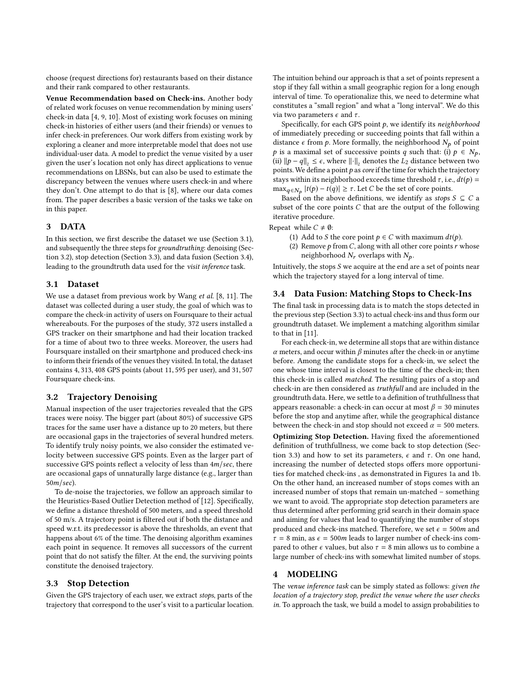choose (request directions for) restaurants based on their distance and their rank compared to other restaurants.

Venue Recommendation based on Check-ins. Another body of related work focuses on venue recommendation by mining users' check-in data [\[4,](#page-3-4) [9,](#page-3-5) [10\]](#page-3-6). Most of existing work focuses on mining check-in histories of either users (and their friends) or venues to infer check-in preferences. Our work differs from existing work by exploring a cleaner and more interpretable model that does not use individual-user data. A model to predict the venue visited by a user given the user's location not only has direct applications to venue recommendations on LBSNs, but can also be used to estimate the discrepancy between the venues where users check-in and where they don't. One attempt to do that is [\[8\]](#page-3-7), where our data comes from. The paper describes a basic version of the tasks we take on in this paper.

# 3 DATA

In this section, we first describe the dataset we use (Section [3.1\)](#page-1-0), and subsequently the three steps for groundtruthing: denoising (Section [3.2\)](#page-1-1), stop detection (Section [3.3\)](#page-1-2), and data fusion (Section [3.4\)](#page-1-3), leading to the groundtruth data used for the visit inference task.

### <span id="page-1-0"></span>3.1 Dataset

We use a dataset from previous work by Wang et al. [\[8,](#page-3-7) [11\]](#page-3-8). The dataset was collected during a user study, the goal of which was to compare the check-in activity of users on Foursquare to their actual whereabouts. For the purposes of the study, 372 users installed a GPS tracker on their smartphone and had their location tracked for a time of about two to three weeks. Moreover, the users had Foursquare installed on their smartphone and produced check-ins to inform their friends of the venues they visited. In total, the dataset contains <sup>4</sup>, <sup>313</sup>, <sup>408</sup> GPS points (about <sup>11</sup>, <sup>595</sup> per user), and <sup>31</sup>, <sup>507</sup> Foursquare check-ins.

## <span id="page-1-1"></span>3.2 Trajectory Denoising

Manual inspection of the user trajectories revealed that the GPS traces were noisy. The bigger part (about 80%) of successive GPS traces for the same user have a distance up to 20 meters, but there are occasional gaps in the trajectories of several hundred meters. To identify truly noisy points, we also consider the estimated velocity between successive GPS points. Even as the larger part of successive GPS points reflect a velocity of less than <sup>4</sup>m/sec, there are occasional gaps of unnaturally large distance (e.g., larger than <sup>50</sup>m/sec).

To de-noise the trajectories, we follow an approach similar to the Heuristics-Based Outlier Detection method of [\[12\]](#page-3-9). Specifically, we define a distance threshold of 500 meters, and a speed threshold of 50 m/s. A trajectory point is filtered out if both the distance and speed w.r.t. its predecessor is above the thresholds, an event that happens about 6% of the time. The denoising algorithm examines each point in sequence. It removes all successors of the current point that do not satisfy the filter. At the end, the surviving points constitute the denoised trajectory.

#### <span id="page-1-2"></span>3.3 Stop Detection

Given the GPS trajectory of each user, we extract stops, parts of the trajectory that correspond to the user's visit to a particular location. The intuition behind our approach is that a set of points represent a stop if they fall within a small geographic region for a long enough interval of time. To operationalize this, we need to determine what constitutes a "small region" and what a "long interval". We do this via two parameters  $\epsilon$  and  $\tau$ .

Specifically, for each GPS point  $p$ , we identify its neighborhood of immediately preceding or succeeding points that fall within a distance  $\epsilon$  from  $p$ . More formally, the neighborhood  $N_p$  of point p is a maximal set of successive points q such that: (i)  $p \in N_p$ , (ii)  $||p - q||_2 \le \epsilon$ , where  $|| \cdot ||_2$  denotes the  $L_2$  distance between two points. We define a point n as core if the time for which the trajectory points. We define a point  $p$  as core if the time for which the trajectory stays within its neighborhood exceeds time threshold  $\tau$ , i.e.,  $dt(p)$  =  $\max_{q \in N_p} |t(p) - t(q)| \geq \tau$ . Let C be the set of core points.<br>Based on the above definitions we identify as stops.

Based on the above definitions, we identify as *stops*  $S \subseteq C$  a subset of the core points  $C$  that are the output of the following iterative procedure.

Repeat while  $C \neq \emptyset$ :

- (1) Add to S the core point  $p \in C$  with maximum  $dt(p)$ .
- (2) Remove  $p$  from  $C$ , along with all other core points  $r$  whose neighborhood  $N_r$  overlaps with  $N_p$ .

Intuitively, the stops  $S$  we acquire at the end are a set of points near which the trajectory stayed for a long interval of time.

#### <span id="page-1-3"></span>3.4 Data Fusion: Matching Stops to Check-Ins

The final task in processing data is to match the stops detected in the previous step (Section [3.3\)](#page-1-2) to actual check-ins and thus form our groundtruth dataset. We implement a matching algorithm similar to that in [\[11\]](#page-3-8).

For each check-in, we determine all stops that are within distance α meters, and occur within β minutes after the check-in or anytime before. Among the candidate stops for a check-in, we select the one whose time interval is closest to the time of the check-in; then this check-in is called *matched*. The resulting pairs of a stop and check-in are then considered as truthfull and are included in the groundtruth data. Here, we settle to a definition of truthfullness that appears reasonable: a check-in can occur at most  $\beta = 30$  minutes before the stop and anytime after, while the geographical distance between the check-in and stop should not exceed  $\alpha = 500$  meters. Optimizing Stop Detection. Having fixed the aforementioned definition of truthfullness, we come back to stop detection (Sec-tion [3.3\)](#page-1-2) and how to set its parameters,  $\epsilon$  and  $\tau$ . On one hand, increasing the number of detected stops offers more opportunities for matched check-ins , as demonstrated in Figures 1a and 1b. On the other hand, an increased number of stops comes with an increased number of stops that remain un-matched – something we want to avoid. The appropriate stop detection parameters are thus determined after performing grid search in their domain space and aiming for values that lead to quantifying the number of stops produced and check-ins matched. Therefore, we set  $\epsilon = 500m$  and  $\tau = 8$  min, as  $\epsilon = 500$ m leads to larger number of check-ins compared to other  $\epsilon$  values, but also  $\tau = 8$  min allows us to combine a large number of check-ins with somewhat limited number of stops.

### 4 MODELING

The venue inference task can be simply stated as follows: given the location of a trajectory stop, predict the venue where the user checks in. To approach the task, we build a model to assign probabilities to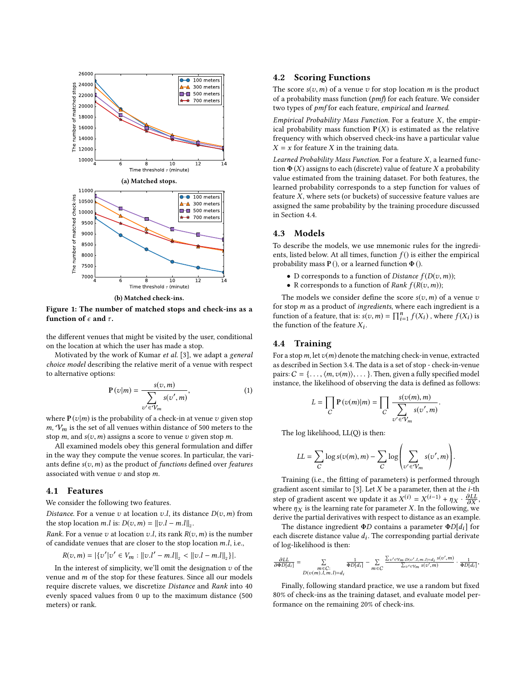

Figure 1: The number of matched stops and check-ins as a function of  $\epsilon$  and  $\tau$ .

the different venues that might be visited by the user, conditional on the location at which the user has made a stop.

Motivated by the work of Kumar et al. [\[3\]](#page-3-0), we adapt a general choice model describing the relative merit of a venue with respect to alternative options:

$$
\mathbf{P}(v|m) = \frac{s(v,m)}{\sum_{v' \in \mathcal{V}_m} s(v',m)},\tag{1}
$$

where  $P(v|m)$  is the probability of a check-in at venue v given stop  $m, \mathcal{V}_m$  is the set of all venues within distance of 500 meters to the stop m, and  $s(v, m)$  assigns a score to venue v given stop m.

All examined models obey this general formulation and differ in the way they compute the venue scores. In particular, the variants define  $s(v, m)$  as the product of functions defined over features associated with venue  $v$  and stop  $m$ .

#### 4.1 Features

We consider the following two features.

Distance. For a venue v at location v.l, its distance  $D(v, m)$  from the stop location m.l is:  $D(v, m) = ||v.l - m.l||_2$ .

*Rank.* For a venue v at location v.l, its rank  $R(v, m)$  is the number of candidate venues that are closer to the stop location  $m.l$ , i.e.,

$$
R(v,m) = |\{v'|v' \in V_m : ||v.l' - m.l||_2 < ||v.l - m.l||_2\}|.
$$

In the interest of simplicity, we'll omit the designation  $v$  of the sum of the stop for these features. Since all our models venue and m of the stop for these features. Since all our models require discrete values, we discretize Distance and Rank into 40 evenly spaced values from 0 up to the maximum distance (500 meters) or rank.

#### 4.2 Scoring Functions

The score  $s(v, m)$  of a venue v for stop location m is the product of a probability mass function  $(pmf)$  for each feature. We consider two types of pmf for each feature, empirical and learned.

Empirical Probability Mass Function. For a feature  $X$ , the empirical probability mass function  $P(X)$  is estimated as the relative frequency with which observed check-ins have a particular value  $X = x$  for feature X in the training data.

Learned Probability Mass Function. For a feature X, a learned function  $\Phi(X)$  assigns to each (discrete) value of feature X a probability value estimated from the training dataset. For both features, the learned probability corresponds to a step function for values of feature X, where sets (or buckets) of successive feature values are assigned the same probability by the training procedure discussed in Section 4.4.

#### 4.3 Models

To describe the models, we use mnemonic rules for the ingredients, listed below. At all times, function  $f()$  is either the empirical probability mass  $P$  (), or a learned function  $\Phi$  ().

- D corresponds to a function of *Distance*  $f(D(v, m))$ ;
- R corresponds to a function of Rank  $f(R(v, m))$ ;

The models we consider define the score  $s(v, m)$  of a venue  $v$ for stop  $m$  as a product of ingredients, where each ingredient is a function of a feature, that is:  $s(v, m) = \prod_{i=1}^{n} f(X_i)$ , where  $f(X_i)$  is the function of the feature  $X_i$ . the function of the feature  $X_i$ .

## 4.4 Training

For a stop  $m$ , let  $v(m)$  denote the matching check-in venue, extracted as described in Section [3.4.](#page-1-3) The data is a set of stop - check-in-venue pairs:  $C = \{ \ldots, \langle m, v(m) \rangle, \ldots \}$ . Then, given a fully specified model instance, the likelihood of observing the data is defined as follows:

$$
L = \prod_C \mathbf{P}(v(m)|m) = \prod_C \frac{s(v(m), m)}{\sum_{v' \in V_m} s(v', m)}.
$$

The log likelihood, LL(Q) is then:

$$
LL = \sum_{C} \log s(v(m), m) - \sum_{C} \log \left( \sum_{v' \in V_m} s(v', m) \right).
$$

Training (i.e., the fitting of parameters) is performed through gradient ascent similar to [\[3\]](#page-3-0). Let X be a parameter, then at the *i*-th stan of gradient assent we under it as  $Y^{(i)} - Y^{(i-1)} + \dots$   $\partial L L$ step of gradient ascent we update it as  $X^{(i)} = X^{(i-1)} + \eta_X \cdot \frac{\partial LL}{\partial X}$ , where  $\eta_X$  is the learning rate for parameter X. In the following, we derive the partial derivatives with respect to distance as an example.

The distance ingredient  $\Phi D$  contains a parameter  $\Phi D[d_i]$  for each discrete distance value  $d_i$ . The corresponding partial derivate of log-likelihood is then:

$$
\frac{\partial LL}{\partial \Phi D[d_i]} = \sum_{\substack{m \in C:\\D(v(m),l,m,l)=d_i}} \frac{1}{\Phi D[d_i]} - \sum_{m \in C} \frac{\sum_{v' \in V_m:D(v',l,m,l)=d_i} s(v',m)}{\sum_{v' \in V_m} s(v',m)} \cdot \frac{1}{\Phi D[d_i]},
$$

Finally, following standard practice, we use a random but fixed 80% of check-ins as the training dataset, and evaluate model performance on the remaining 20% of check-ins.